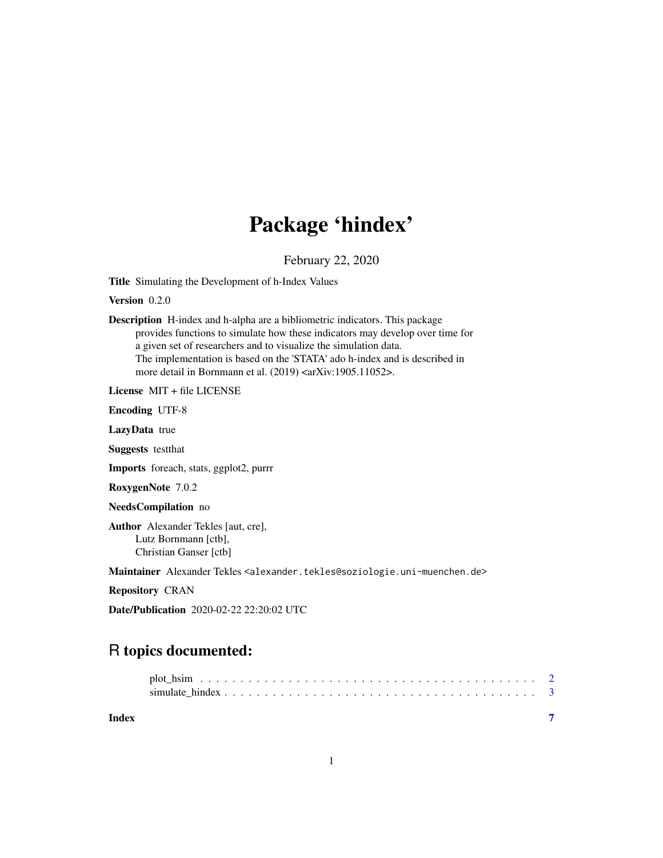## Package 'hindex'

February 22, 2020

<span id="page-0-0"></span>Title Simulating the Development of h-Index Values

Version 0.2.0

Description H-index and h-alpha are a bibliometric indicators. This package provides functions to simulate how these indicators may develop over time for a given set of researchers and to visualize the simulation data. The implementation is based on the 'STATA' ado h-index and is described in more detail in Bornmann et al. (2019) <arXiv:1905.11052>.

License MIT + file LICENSE

Encoding UTF-8

LazyData true

Suggests testthat

Imports foreach, stats, ggplot2, purrr

RoxygenNote 7.0.2

NeedsCompilation no

Author Alexander Tekles [aut, cre], Lutz Bornmann [ctb], Christian Ganser [ctb]

Maintainer Alexander Tekles <alexander.tekles@soziologie.uni-muenchen.de>

Repository CRAN

Date/Publication 2020-02-22 22:20:02 UTC

### R topics documented:

| Index |  |
|-------|--|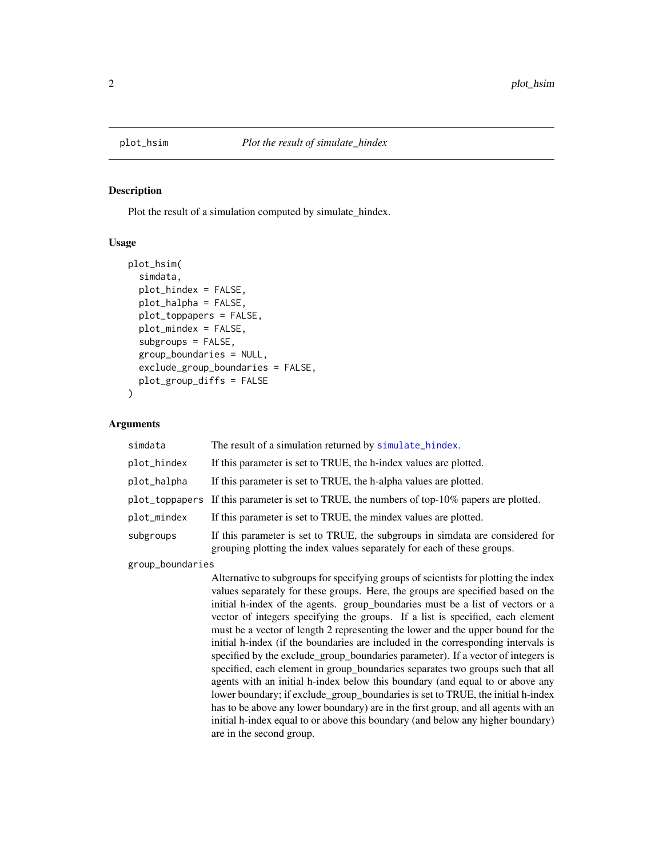<span id="page-1-0"></span>

#### **Description**

Plot the result of a simulation computed by simulate\_hindex.

#### Usage

```
plot_hsim(
  simdata,
  plot_hindex = FALSE,
  plot_halpha = FALSE,
  plot_toppapers = FALSE,
  plot_mindex = FALSE,
  subgroups = FALSE,
  group_boundaries = NULL,
  exclude_group_boundaries = FALSE,
  plot_group_diffs = FALSE
\mathcal{L}
```
#### Arguments

| simdata     | The result of a simulation returned by simulate_hindex.                                                                                                  |
|-------------|----------------------------------------------------------------------------------------------------------------------------------------------------------|
| plot_hindex | If this parameter is set to TRUE, the h-index values are plotted.                                                                                        |
| plot_halpha | If this parameter is set to TRUE, the h-alpha values are plotted.                                                                                        |
|             | plot_toppapers If this parameter is set to TRUE, the numbers of top-10% papers are plotted.                                                              |
| plot_mindex | If this parameter is set to TRUE, the mindex values are plotted.                                                                                         |
| subgroups   | If this parameter is set to TRUE, the subgroups in simdata are considered for<br>grouping plotting the index values separately for each of these groups. |
|             |                                                                                                                                                          |

group\_boundaries

Alternative to subgroups for specifying groups of scientists for plotting the index values separately for these groups. Here, the groups are specified based on the initial h-index of the agents. group\_boundaries must be a list of vectors or a vector of integers specifying the groups. If a list is specified, each element must be a vector of length 2 representing the lower and the upper bound for the initial h-index (if the boundaries are included in the corresponding intervals is specified by the exclude\_group\_boundaries parameter). If a vector of integers is specified, each element in group\_boundaries separates two groups such that all agents with an initial h-index below this boundary (and equal to or above any lower boundary; if exclude\_group\_boundaries is set to TRUE, the initial h-index has to be above any lower boundary) are in the first group, and all agents with an initial h-index equal to or above this boundary (and below any higher boundary) are in the second group.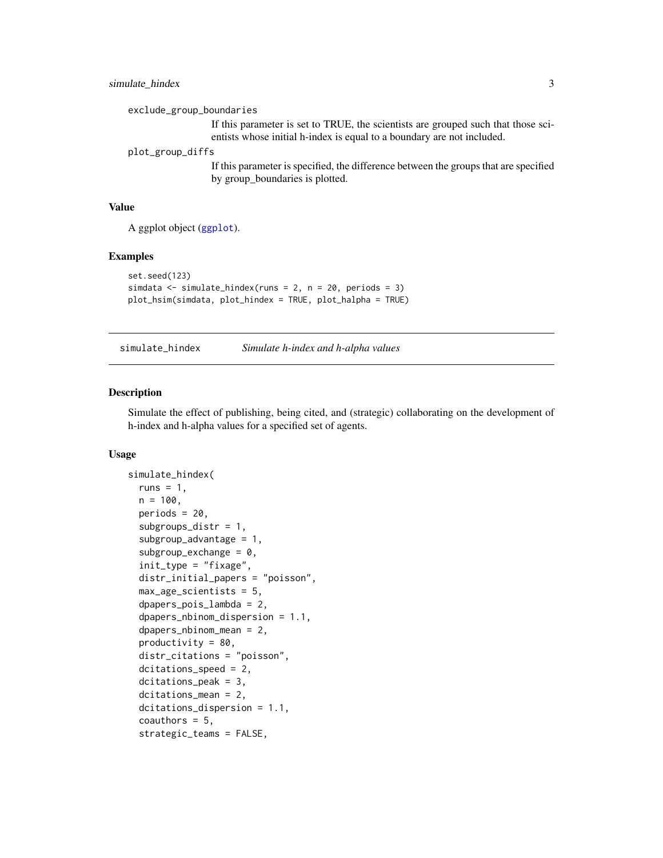#### <span id="page-2-0"></span>simulate\_hindex 3

exclude\_group\_boundaries

If this parameter is set to TRUE, the scientists are grouped such that those scientists whose initial h-index is equal to a boundary are not included.

plot\_group\_diffs

If this parameter is specified, the difference between the groups that are specified by group\_boundaries is plotted.

#### Value

A ggplot object ([ggplot](#page-0-0)).

#### Examples

```
set.seed(123)
simdata <- simulate_hindex(runs = 2, n = 20, periods = 3)
plot_hsim(simdata, plot_hindex = TRUE, plot_halpha = TRUE)
```
<span id="page-2-1"></span>simulate\_hindex *Simulate h-index and h-alpha values*

#### Description

Simulate the effect of publishing, being cited, and (strategic) collaborating on the development of h-index and h-alpha values for a specified set of agents.

#### Usage

```
simulate_hindex(
  runs = 1,
  n = 100,
  periods = 20,
  subgroups_distr = 1,
  subgroup_advantage = 1,
  subgroup\_exchange = 0,init_type = "fixage",
  distr_initial_papers = "poisson",
  max_{ag}e_scientists = 5,
  dpapers_pois_lambda = 2,
  dpapers_nbinom_dispersion = 1.1,
  dpapers_nbinom_mean = 2,
  productivity = 80,
  distr_citations = "poisson",
  dcitations_speed = 2,
  dcitations_peak = 3,
  dcitations_mean = 2,
  dcitations_dispersion = 1.1,
  coauthors = 5,
  strategic_teams = FALSE,
```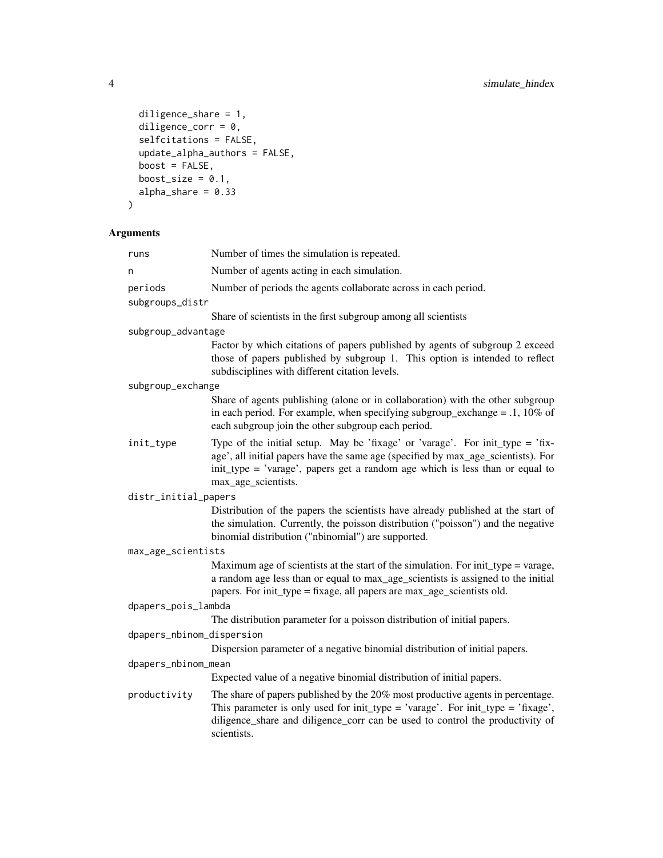```
diligence_share = 1,
 diligence_corr = 0,
 selfcitations = FALSE,
 update_alpha_authors = FALSE,
 boost = FALSE,
 boost_size = 0.1,
 alpha_share = 0.33\mathcal{L}
```
#### Arguments

| runs                      | Number of times the simulation is repeated.                                                                                                                                                                                                                               |  |  |  |
|---------------------------|---------------------------------------------------------------------------------------------------------------------------------------------------------------------------------------------------------------------------------------------------------------------------|--|--|--|
| n                         | Number of agents acting in each simulation.                                                                                                                                                                                                                               |  |  |  |
| periods                   | Number of periods the agents collaborate across in each period.                                                                                                                                                                                                           |  |  |  |
| subgroups_distr           |                                                                                                                                                                                                                                                                           |  |  |  |
|                           | Share of scientists in the first subgroup among all scientists                                                                                                                                                                                                            |  |  |  |
| subgroup_advantage        |                                                                                                                                                                                                                                                                           |  |  |  |
|                           | Factor by which citations of papers published by agents of subgroup 2 exceed<br>those of papers published by subgroup 1. This option is intended to reflect<br>subdisciplines with different citation levels.                                                             |  |  |  |
| subgroup_exchange         |                                                                                                                                                                                                                                                                           |  |  |  |
|                           | Share of agents publishing (alone or in collaboration) with the other subgroup<br>in each period. For example, when specifying subgroup_exchange = $.1,10\%$ of<br>each subgroup join the other subgroup each period.                                                     |  |  |  |
| init_type                 | Type of the initial setup. May be 'fixage' or 'varage'. For init_type = 'fix-<br>age', all initial papers have the same age (specified by max_age_scientists). For<br>init_type = 'varage', papers get a random age which is less than or equal to<br>max_age_scientists. |  |  |  |
| distr_initial_papers      |                                                                                                                                                                                                                                                                           |  |  |  |
|                           | Distribution of the papers the scientists have already published at the start of<br>the simulation. Currently, the poisson distribution ("poisson") and the negative<br>binomial distribution ("nbinomial") are supported.                                                |  |  |  |
| max_age_scientists        |                                                                                                                                                                                                                                                                           |  |  |  |
|                           | Maximum age of scientists at the start of the simulation. For init_type = varage,<br>a random age less than or equal to max_age_scientists is assigned to the initial<br>papers. For init_type = fixage, all papers are max_age_scientists old.                           |  |  |  |
| dpapers_pois_lambda       |                                                                                                                                                                                                                                                                           |  |  |  |
|                           | The distribution parameter for a poisson distribution of initial papers.                                                                                                                                                                                                  |  |  |  |
| dpapers_nbinom_dispersion |                                                                                                                                                                                                                                                                           |  |  |  |
|                           | Dispersion parameter of a negative binomial distribution of initial papers.                                                                                                                                                                                               |  |  |  |
| dpapers_nbinom_mean       |                                                                                                                                                                                                                                                                           |  |  |  |
|                           | Expected value of a negative binomial distribution of initial papers.                                                                                                                                                                                                     |  |  |  |
| productivity              | The share of papers published by the 20% most productive agents in percentage.<br>This parameter is only used for init_type = 'varage'. For init_type = 'fixage',<br>diligence_share and diligence_corr can be used to control the productivity of<br>scientists.         |  |  |  |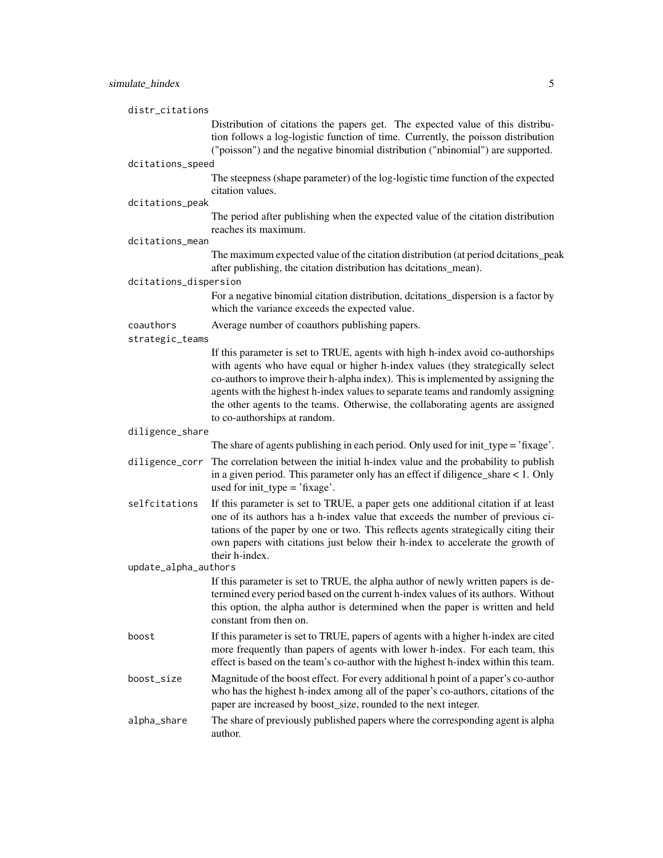| distr_citations       |                                                                                                                                                                                                                                                                                                                                                                                                                                                             |
|-----------------------|-------------------------------------------------------------------------------------------------------------------------------------------------------------------------------------------------------------------------------------------------------------------------------------------------------------------------------------------------------------------------------------------------------------------------------------------------------------|
|                       | Distribution of citations the papers get. The expected value of this distribu-<br>tion follows a log-logistic function of time. Currently, the poisson distribution<br>("poisson") and the negative binomial distribution ("nbinomial") are supported.                                                                                                                                                                                                      |
| dcitations_speed      |                                                                                                                                                                                                                                                                                                                                                                                                                                                             |
|                       | The steepness (shape parameter) of the log-logistic time function of the expected<br>citation values.                                                                                                                                                                                                                                                                                                                                                       |
| dcitations_peak       |                                                                                                                                                                                                                                                                                                                                                                                                                                                             |
|                       | The period after publishing when the expected value of the citation distribution<br>reaches its maximum.                                                                                                                                                                                                                                                                                                                                                    |
| dcitations_mean       |                                                                                                                                                                                                                                                                                                                                                                                                                                                             |
|                       | The maximum expected value of the citation distribution (at period dcitations_peak<br>after publishing, the citation distribution has dcitations_mean).                                                                                                                                                                                                                                                                                                     |
| dcitations_dispersion |                                                                                                                                                                                                                                                                                                                                                                                                                                                             |
|                       | For a negative binomial citation distribution, dcitations_dispersion is a factor by<br>which the variance exceeds the expected value.                                                                                                                                                                                                                                                                                                                       |
| coauthors             | Average number of coauthors publishing papers.                                                                                                                                                                                                                                                                                                                                                                                                              |
| strategic_teams       |                                                                                                                                                                                                                                                                                                                                                                                                                                                             |
|                       | If this parameter is set to TRUE, agents with high h-index avoid co-authorships<br>with agents who have equal or higher h-index values (they strategically select<br>co-authors to improve their h-alpha index). This is implemented by assigning the<br>agents with the highest h-index values to separate teams and randomly assigning<br>the other agents to the teams. Otherwise, the collaborating agents are assigned<br>to co-authorships at random. |
| diligence_share       |                                                                                                                                                                                                                                                                                                                                                                                                                                                             |
|                       | The share of agents publishing in each period. Only used for init_type = 'fixage'.                                                                                                                                                                                                                                                                                                                                                                          |
| diligence_corr        | The correlation between the initial h-index value and the probability to publish<br>in a given period. This parameter only has an effect if diligence_share $< 1$ . Only<br>used for $init_type = 'fixage'.$                                                                                                                                                                                                                                                |
| selfcitations         | If this parameter is set to TRUE, a paper gets one additional citation if at least<br>one of its authors has a h-index value that exceeds the number of previous ci-<br>tations of the paper by one or two. This reflects agents strategically citing their<br>own papers with citations just below their h-index to accelerate the growth of<br>their h-index.                                                                                             |
| update_alpha_authors  |                                                                                                                                                                                                                                                                                                                                                                                                                                                             |
|                       | If this parameter is set to TRUE, the alpha author of newly written papers is de-<br>termined every period based on the current h-index values of its authors. Without<br>this option, the alpha author is determined when the paper is written and held<br>constant from then on.                                                                                                                                                                          |
| boost                 | If this parameter is set to TRUE, papers of agents with a higher h-index are cited<br>more frequently than papers of agents with lower h-index. For each team, this<br>effect is based on the team's co-author with the highest h-index within this team.                                                                                                                                                                                                   |
| boost_size            | Magnitude of the boost effect. For every additional h point of a paper's co-author<br>who has the highest h-index among all of the paper's co-authors, citations of the<br>paper are increased by boost_size, rounded to the next integer.                                                                                                                                                                                                                  |
| alpha_share           | The share of previously published papers where the corresponding agent is alpha<br>author.                                                                                                                                                                                                                                                                                                                                                                  |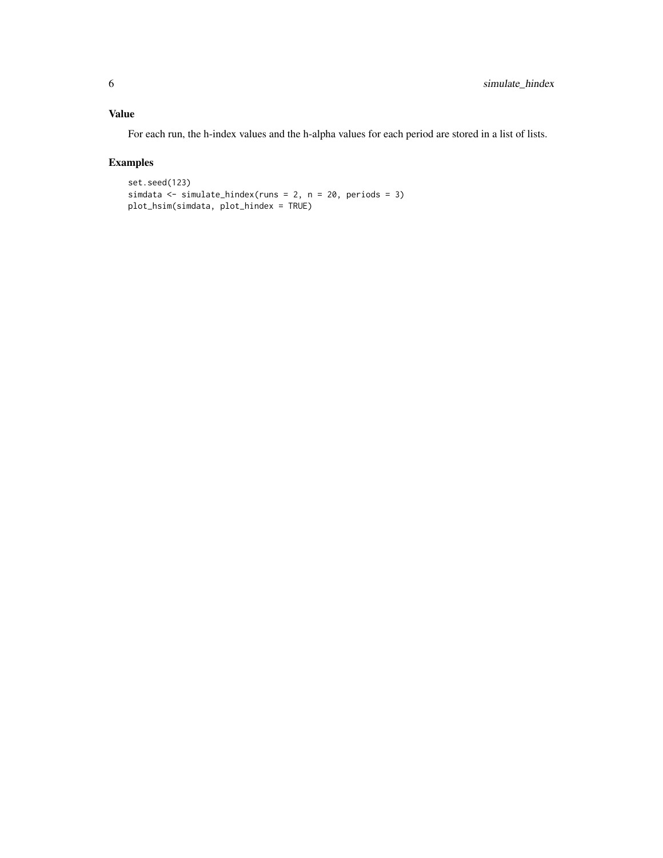#### Value

For each run, the h-index values and the h-alpha values for each period are stored in a list of lists.

#### Examples

```
set.seed(123)
simdata <- simulate_hindex(runs = 2, n = 20, periods = 3)
plot_hsim(simdata, plot_hindex = TRUE)
```